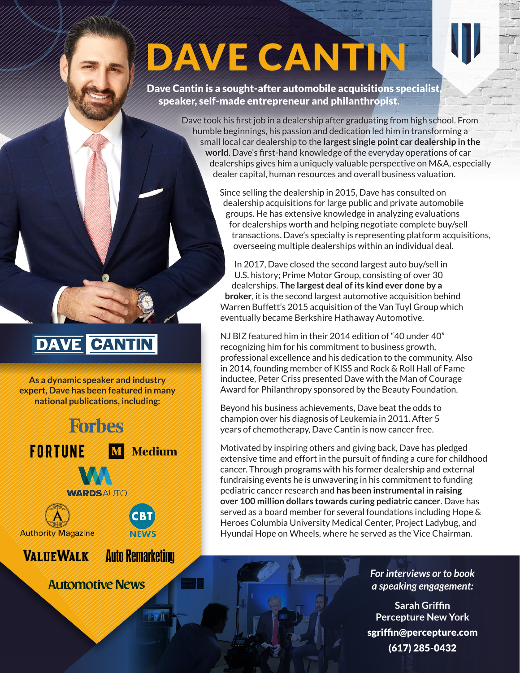# DAVE CANTIN

Dave Cantin is a sought-after automobile acquisitions specialist, speaker, self-made entrepreneur and philanthropist.

> Dave took his first job in a dealership after graduating from high school. From humble beginnings, his passion and dedication led him in transforming a small local car dealership to the **largest single point car dealership in the world**. Dave's first-hand knowledge of the everyday operations of car dealerships gives him a uniquely valuable perspective on M&A, especially dealer capital, human resources and overall business valuation.

> > Since selling the dealership in 2015, Dave has consulted on dealership acquisitions for large public and private automobile groups. He has extensive knowledge in analyzing evaluations for dealerships worth and helping negotiate complete buy/sell transactions. Dave's specialty is representing platform acquisitions, overseeing multiple dealerships within an individual deal.

In 2017, Dave closed the second largest auto buy/sell in U.S. history; Prime Motor Group, consisting of over 30 dealerships. **The largest deal of its kind ever done by a broker**, it is the second largest automotive acquisition behind Warren Buffett's 2015 acquisition of the Van Tuyl Group which eventually became Berkshire Hathaway Automotive.

NJ BIZ featured him in their 2014 edition of "40 under 40" recognizing him for his commitment to business growth, professional excellence and his dedication to the community. Also in 2014, founding member of KISS and Rock & Roll Hall of Fame inductee, Peter Criss presented Dave with the Man of Courage Award for Philanthropy sponsored by the Beauty Foundation.

Beyond his business achievements, Dave beat the odds to champion over his diagnosis of Leukemia in 2011. After 5 years of chemotherapy, Dave Cantin is now cancer free.

Motivated by inspiring others and giving back, Dave has pledged extensive time and effort in the pursuit of finding a cure for childhood cancer. Through programs with his former dealership and external fundraising events he is unwavering in his commitment to funding pediatric cancer research and **has been instrumental in raising over 100 million dollars towards curing pediatric cancer**. Dave has served as a board member for several foundations including Hope & Heroes Columbia University Medical Center, Project Ladybug, and Hyundai Hope on Wheels, where he served as the Vice Chairman.

> *For interviews or to book a speaking engagement:*

**Sarah Griffin Percepture New York** sgriffin@percepture.com (617) 285-0432

### **DAVE CANTIN**

**As a dynamic speaker and industry expert, Dave has been featured in many national publications, including:**